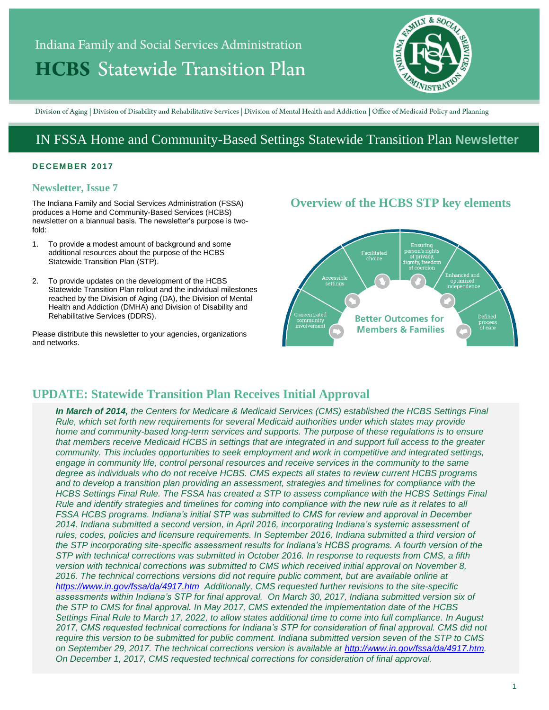# Indiana Family and Social Services Administration **HCBS** Statewide Transition Plan



Division of Aging | Division of Disability and Rehabilitative Services | Division of Mental Health and Addiction | Office of Medicaid Policy and Planning

# IN FSSA Home and Community-Based Settings Statewide Transition Plan **Newsletter**

#### **D E C E M B E R 2 01 7**

### **Newsletter, Issue 7**

The Indiana Family and Social Services Administration (FSSA) produces a Home and Community-Based Services (HCBS) newsletter on a biannual basis. The newsletter's purpose is twofold:

- 1. To provide a modest amount of background and some additional resources about the purpose of the HCBS Statewide Transition Plan (STP).
- 2. To provide updates on the development of the HCBS Statewide Transition Plan rollout and the individual milestones reached by the Division of Aging (DA), the Division of Mental Health and Addiction (DMHA) and Division of Disability and Rehabilitative Services (DDRS).

Please distribute this newsletter to your agencies, organizations and networks.

# **Overview of the HCBS STP key elements**



# **UPDATE: Statewide Transition Plan Receives Initial Approval**

*In March of 2014, the Centers for Medicare & Medicaid Services (CMS) established the HCBS Settings Final Rule, which set forth new requirements for several Medicaid authorities under which states may provide home and community-based long-term services and supports. The purpose of these regulations is to ensure that members receive Medicaid HCBS in settings that are integrated in and support full access to the greater community. This includes opportunities to seek employment and work in competitive and integrated settings, engage in community life, control personal resources and receive services in the community to the same degree as individuals who do not receive HCBS. CMS expects all states to review current HCBS programs and to develop a transition plan providing an assessment, strategies and timelines for compliance with the HCBS Settings Final Rule. The FSSA has created a STP to assess compliance with the HCBS Settings Final Rule and identify strategies and timelines for coming into compliance with the new rule as it relates to all FSSA HCBS programs. Indiana's initial STP was submitted to CMS for review and approval in December 2014. Indiana submitted a second version, in April 2016, incorporating Indiana's systemic assessment of rules, codes, policies and licensure requirements. In September 2016, Indiana submitted a third version of the STP incorporating site-specific assessment results for Indiana's HCBS programs. A fourth version of the STP with technical corrections was submitted in October 2016. In response to requests from CMS, a fifth version with technical corrections was submitted to CMS which received initial approval on November 8, 2016. The technical corrections versions did not require public comment, but are available online at <https://www.in.gov/fssa/da/4917.htm>Additionally, CMS requested further revisions to the site-specific assessments within Indiana's STP for final approval. On March 30, 2017, Indiana submitted version six of the STP to CMS for final approval. In May 2017, CMS extended the implementation date of the HCBS Settings Final Rule to March 17, 2022, to allow states additional time to come into full compliance. In August*  2017, CMS requested technical corrections for Indiana's STP for consideration of final approval. CMS did not *require this version to be submitted for public comment. Indiana submitted version seven of the STP to CMS on September 29, 2017. The technical corrections version is available at [http://www.in.gov/fssa/da/4917.htm.](http://www.in.gov/fssa/da/4917.htm) On December 1, 2017, CMS requested technical corrections for consideration of final approval.*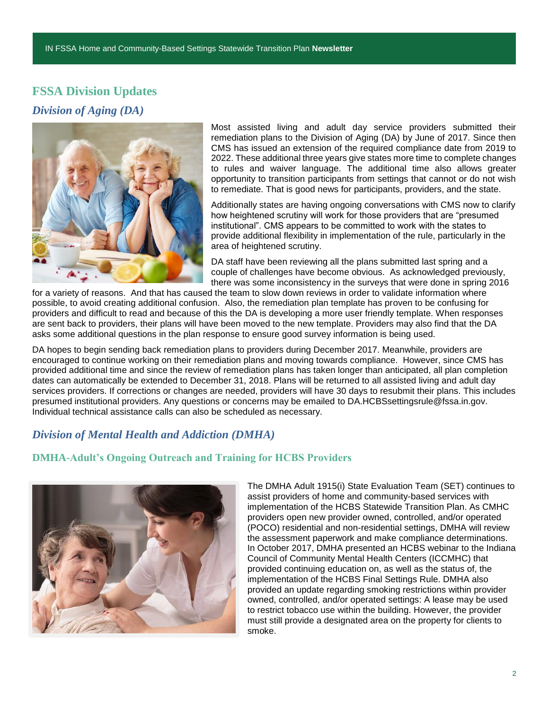# **FSSA Division Updates** *Division of Aging (DA)*



Most assisted living and adult day service providers submitted their remediation plans to the Division of Aging (DA) by June of 2017. Since then CMS has issued an extension of the required compliance date from 2019 to 2022. These additional three years give states more time to complete changes to rules and waiver language. The additional time also allows greater opportunity to transition participants from settings that cannot or do not wish to remediate. That is good news for participants, providers, and the state.

Additionally states are having ongoing conversations with CMS now to clarify how heightened scrutiny will work for those providers that are "presumed institutional". CMS appears to be committed to work with the states to provide additional flexibility in implementation of the rule, particularly in the area of heightened scrutiny.

DA staff have been reviewing all the plans submitted last spring and a couple of challenges have become obvious. As acknowledged previously, there was some inconsistency in the surveys that were done in spring 2016

for a variety of reasons. And that has caused the team to slow down reviews in order to validate information where possible, to avoid creating additional confusion. Also, the remediation plan template has proven to be confusing for providers and difficult to read and because of this the DA is developing a more user friendly template. When responses are sent back to providers, their plans will have been moved to the new template. Providers may also find that the DA asks some additional questions in the plan response to ensure good survey information is being used.

DA hopes to begin sending back remediation plans to providers during December 2017. Meanwhile, providers are encouraged to continue working on their remediation plans and moving towards compliance. However, since CMS has provided additional time and since the review of remediation plans has taken longer than anticipated, all plan completion dates can automatically be extended to December 31, 2018. Plans will be returned to all assisted living and adult day services providers. If corrections or changes are needed, providers will have 30 days to resubmit their plans. This includes presumed institutional providers. Any questions or concerns may be emailed to DA.HCBSsettingsrule@fssa.in.gov. Individual technical assistance calls can also be scheduled as necessary.

# *Division of Mental Health and Addiction (DMHA)*

## **DMHA-Adult's Ongoing Outreach and Training for HCBS Providers**



The DMHA Adult 1915(i) State Evaluation Team (SET) continues to assist providers of home and community-based services with implementation of the HCBS Statewide Transition Plan. As CMHC providers open new provider owned, controlled, and/or operated (POCO) residential and non-residential settings, DMHA will review the assessment paperwork and make compliance determinations. In October 2017, DMHA presented an HCBS webinar to the Indiana Council of Community Mental Health Centers (ICCMHC) that provided continuing education on, as well as the status of, the implementation of the HCBS Final Settings Rule. DMHA also provided an update regarding smoking restrictions within provider owned, controlled, and/or operated settings: A lease may be used to restrict tobacco use within the building. However, the provider must still provide a designated area on the property for clients to smoke.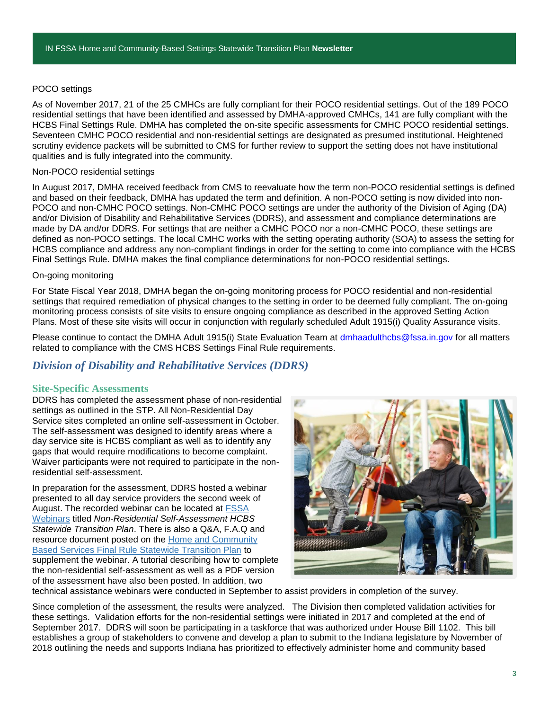## POCO settings

As of November 2017, 21 of the 25 CMHCs are fully compliant for their POCO residential settings. Out of the 189 POCO residential settings that have been identified and assessed by DMHA-approved CMHCs, 141 are fully compliant with the HCBS Final Settings Rule. DMHA has completed the on-site specific assessments for CMHC POCO residential settings. Seventeen CMHC POCO residential and non-residential settings are designated as presumed institutional. Heightened scrutiny evidence packets will be submitted to CMS for further review to support the setting does not have institutional qualities and is fully integrated into the community.

#### Non-POCO residential settings

In August 2017, DMHA received feedback from CMS to reevaluate how the term non-POCO residential settings is defined and based on their feedback, DMHA has updated the term and definition. A non-POCO setting is now divided into non-POCO and non-CMHC POCO settings. Non-CMHC POCO settings are under the authority of the Division of Aging (DA) and/or Division of Disability and Rehabilitative Services (DDRS), and assessment and compliance determinations are made by DA and/or DDRS. For settings that are neither a CMHC POCO nor a non-CMHC POCO, these settings are defined as non-POCO settings. The local CMHC works with the setting operating authority (SOA) to assess the setting for HCBS compliance and address any non-compliant findings in order for the setting to come into compliance with the HCBS Final Settings Rule. DMHA makes the final compliance determinations for non-POCO residential settings.

#### On-going monitoring

For State Fiscal Year 2018, DMHA began the on-going monitoring process for POCO residential and non-residential settings that required remediation of physical changes to the setting in order to be deemed fully compliant. The on-going monitoring process consists of site visits to ensure ongoing compliance as described in the approved Setting Action Plans. Most of these site visits will occur in conjunction with regularly scheduled Adult 1915(i) Quality Assurance visits.

Please continue to contact the DMHA Adult 1915(i) State Evaluation Team at [dmhaadulthcbs@fssa.in.gov](mailto:dmhaadulthcbs@fssa.in.gov) for all matters related to compliance with the CMS HCBS Settings Final Rule requirements.

# *Division of Disability and Rehabilitative Services (DDRS)*

#### **Site-Specific Assessments**

DDRS has completed the assessment phase of non-residential settings as outlined in the STP. All Non-Residential Day Service sites completed an online self-assessment in October. The self-assessment was designed to identify areas where a day service site is HCBS compliant as well as to identify any gaps that would require modifications to become complaint. Waiver participants were not required to participate in the nonresidential self-assessment.

In preparation for the assessment, DDRS hosted a webinar presented to all day service providers the second week of August. The recorded webinar can be located at [FSSA](http://www.in.gov/fssa/4993.htmhttp:/www.in.gov/fssa/4993.htm)  [Webinars](http://www.in.gov/fssa/4993.htmhttp:/www.in.gov/fssa/4993.htm) titled *Non-Residential Self-Assessment HCBS Statewide Transition Plan*. There is also a Q&A, F.A.Q and resource document posted on the [Home and Community](http://www.in.gov/fssa/4917.htm)  [Based Services Final Rule Statewide Transition Plan](http://www.in.gov/fssa/4917.htm) to supplement the webinar. A tutorial describing how to complete the non-residential self-assessment as well as a PDF version of the assessment have also been posted. In addition, two



technical assistance webinars were conducted in September to assist providers in completion of the survey.

Since completion of the assessment, the results were analyzed. The Division then completed validation activities for these settings. Validation efforts for the non-residential settings were initiated in 2017 and completed at the end of September 2017. DDRS will soon be participating in a taskforce that was authorized under House Bill 1102. This bill establishes a group of stakeholders to convene and develop a plan to submit to the Indiana legislature by November of 2018 outlining the needs and supports Indiana has prioritized to effectively administer home and community based